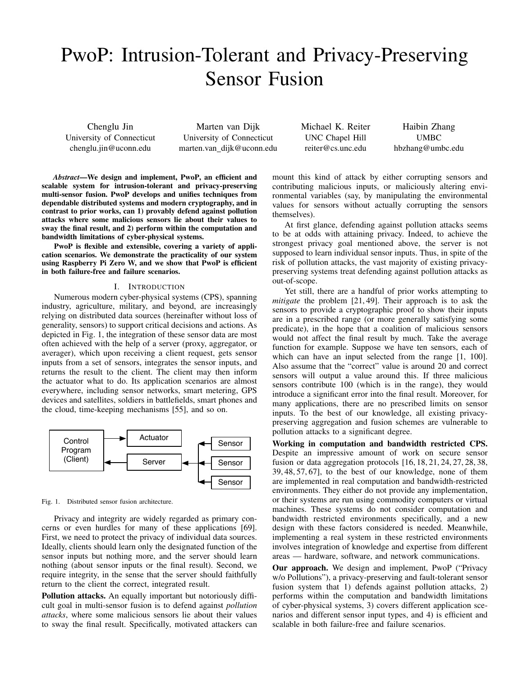# PwoP: Intrusion-Tolerant and Privacy-Preserving Sensor Fusion

Chenglu Jin University of Connecticut chenglu.jin@uconn.edu

Marten van Dijk University of Connecticut marten.van dijk@uconn.edu Michael K. Reiter UNC Chapel Hill reiter@cs.unc.edu

Haibin Zhang UMBC hbzhang@umbc.edu

*Abstract*—We design and implement, PwoP, an efficient and scalable system for intrusion-tolerant and privacy-preserving multi-sensor fusion. PwoP develops and unifies techniques from dependable distributed systems and modern cryptography, and in contrast to prior works, can 1) provably defend against pollution attacks where some malicious sensors lie about their values to sway the final result, and 2) perform within the computation and bandwidth limitations of cyber-physical systems.

PwoP is flexible and extensible, covering a variety of application scenarios. We demonstrate the practicality of our system using Raspberry Pi Zero W, and we show that PwoP is efficient in both failure-free and failure scenarios.

# I. INTRODUCTION

Numerous modern cyber-physical systems (CPS), spanning industry, agriculture, military, and beyond, are increasingly relying on distributed data sources (hereinafter without loss of generality, sensors) to support critical decisions and actions. As depicted in Fig. 1, the integration of these sensor data are most often achieved with the help of a server (proxy, aggregator, or averager), which upon receiving a client request, gets sensor inputs from a set of sensors, integrates the sensor inputs, and returns the result to the client. The client may then inform the actuator what to do. Its application scenarios are almost everywhere, including sensor networks, smart metering, GPS devices and satellites, soldiers in battlefields, smart phones and the cloud, time-keeping mechanisms [55], and so on.



Fig. 1. Distributed sensor fusion architecture.

Privacy and integrity are widely regarded as primary concerns or even hurdles for many of these applications [69]. First, we need to protect the privacy of individual data sources. Ideally, clients should learn only the designated function of the sensor inputs but nothing more, and the server should learn nothing (about sensor inputs or the final result). Second, we require integrity, in the sense that the server should faithfully return to the client the correct, integrated result.

Pollution attacks. An equally important but notoriously difficult goal in multi-sensor fusion is to defend against *pollution attacks*, where some malicious sensors lie about their values to sway the final result. Specifically, motivated attackers can mount this kind of attack by either corrupting sensors and contributing malicious inputs, or maliciously altering environmental variables (say, by manipulating the environmental values for sensors without actually corrupting the sensors themselves).

At first glance, defending against pollution attacks seems to be at odds with attaining privacy. Indeed, to achieve the strongest privacy goal mentioned above, the server is not supposed to learn individual sensor inputs. Thus, in spite of the risk of pollution attacks, the vast majority of existing privacypreserving systems treat defending against pollution attacks as out-of-scope.

Yet still, there are a handful of prior works attempting to *mitigate* the problem [21, 49]. Their approach is to ask the sensors to provide a cryptographic proof to show their inputs are in a prescribed range (or more generally satisfying some predicate), in the hope that a coalition of malicious sensors would not affect the final result by much. Take the average function for example. Suppose we have ten sensors, each of which can have an input selected from the range [1, 100]. Also assume that the "correct" value is around 20 and correct sensors will output a value around this. If three malicious sensors contribute 100 (which is in the range), they would introduce a significant error into the final result. Moreover, for many applications, there are no prescribed limits on sensor inputs. To the best of our knowledge, all existing privacypreserving aggregation and fusion schemes are vulnerable to pollution attacks to a significant degree.

Working in computation and bandwidth restricted CPS. Despite an impressive amount of work on secure sensor fusion or data aggregation protocols [16, 18, 21, 24, 27, 28, 38, 39, 48, 57, 67], to the best of our knowledge, none of them are implemented in real computation and bandwidth-restricted environments. They either do not provide any implementation, or their systems are run using commodity computers or virtual machines. These systems do not consider computation and bandwidth restricted environments specifically, and a new design with these factors considered is needed. Meanwhile, implementing a real system in these restricted environments involves integration of knowledge and expertise from different areas — hardware, software, and network communications.

Our approach. We design and implement, PwoP ("Privacy w/o Pollutions"), a privacy-preserving and fault-tolerant sensor fusion system that 1) defends against pollution attacks, 2) performs within the computation and bandwidth limitations of cyber-physical systems, 3) covers different application scenarios and different sensor input types, and 4) is efficient and scalable in both failure-free and failure scenarios.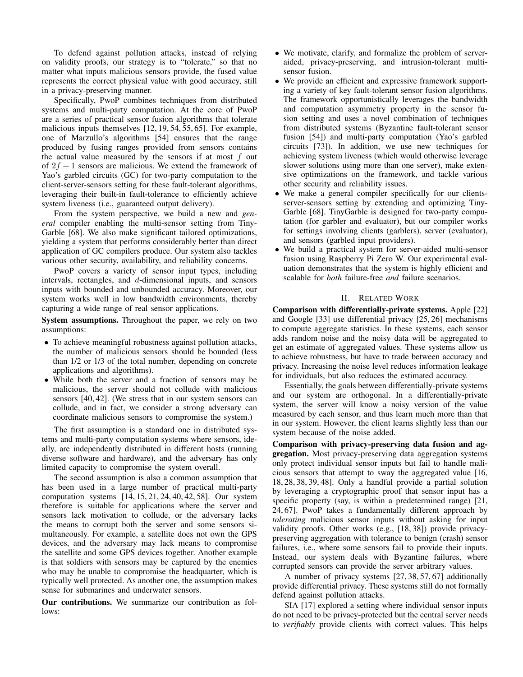To defend against pollution attacks, instead of relying on validity proofs, our strategy is to "tolerate," so that no matter what inputs malicious sensors provide, the fused value represents the correct physical value with good accuracy, still in a privacy-preserving manner.

Specifically, PwoP combines techniques from distributed systems and multi-party computation. At the core of PwoP are a series of practical sensor fusion algorithms that tolerate malicious inputs themselves [12, 19, 54, 55, 65]. For example, one of Marzullo's algorithms [54] ensures that the range produced by fusing ranges provided from sensors contains the actual value measured by the sensors if at most  $f$  out of  $2f + 1$  sensors are malicious. We extend the framework of Yao's garbled circuits (GC) for two-party computation to the client-server-sensors setting for these fault-tolerant algorithms, leveraging their built-in fault-tolerance to efficiently achieve system liveness (i.e., guaranteed output delivery).

From the system perspective, we build a new and *general* compiler enabling the multi-sensor setting from Tiny-Garble [68]. We also make significant tailored optimizations, yielding a system that performs considerably better than direct application of GC compilers produce. Our system also tackles various other security, availability, and reliability concerns.

PwoP covers a variety of sensor input types, including intervals, rectangles, and  $d$ -dimensional inputs, and sensors inputs with bounded and unbounded accuracy. Moreover, our system works well in low bandwidth environments, thereby capturing a wide range of real sensor applications.

System assumptions. Throughout the paper, we rely on two assumptions:

- To achieve meaningful robustness against pollution attacks, the number of malicious sensors should be bounded (less than 1/2 or 1/3 of the total number, depending on concrete applications and algorithms).
- While both the server and a fraction of sensors may be malicious, the server should not collude with malicious sensors [40, 42]. (We stress that in our system sensors can collude, and in fact, we consider a strong adversary can coordinate malicious sensors to compromise the system.)

The first assumption is a standard one in distributed systems and multi-party computation systems where sensors, ideally, are independently distributed in different hosts (running diverse software and hardware), and the adversary has only limited capacity to compromise the system overall.

The second assumption is also a common assumption that has been used in a large number of practical multi-party computation systems [14, 15, 21, 24, 40, 42, 58]. Our system therefore is suitable for applications where the server and sensors lack motivation to collude, or the adversary lacks the means to corrupt both the server and some sensors simultaneously. For example, a satellite does not own the GPS devices, and the adversary may lack means to compromise the satellite and some GPS devices together. Another example is that soldiers with sensors may be captured by the enemies who may be unable to compromise the headquarter, which is typically well protected. As another one, the assumption makes sense for submarines and underwater sensors.

Our contributions. We summarize our contribution as follows:

- We motivate, clarify, and formalize the problem of serveraided, privacy-preserving, and intrusion-tolerant multisensor fusion.
- We provide an efficient and expressive framework supporting a variety of key fault-tolerant sensor fusion algorithms. The framework opportunistically leverages the bandwidth and computation asymmetry property in the sensor fusion setting and uses a novel combination of techniques from distributed systems (Byzantine fault-tolerant sensor fusion [54]) and multi-party computation (Yao's garbled circuits [73]). In addition, we use new techniques for achieving system liveness (which would otherwise leverage slower solutions using more than one server), make extensive optimizations on the framework, and tackle various other security and reliability issues.
- We make a general compiler specifically for our clientsserver-sensors setting by extending and optimizing Tiny-Garble [68]. TinyGarble is designed for two-party computation (for garbler and evaluator), but our compiler works for settings involving clients (garblers), server (evaluator), and sensors (garbled input providers).
- We build a practical system for server-aided multi-sensor fusion using Raspberry Pi Zero W. Our experimental evaluation demonstrates that the system is highly efficient and scalable for *both* failure-free *and* failure scenarios.

### II. RELATED WORK

Comparison with differentially-private systems. Apple [22] and Google [33] use differential privacy [25, 26] mechanisms to compute aggregate statistics. In these systems, each sensor adds random noise and the noisy data will be aggregated to get an estimate of aggregated values. These systems allow us to achieve robustness, but have to trade between accuracy and privacy. Increasing the noise level reduces information leakage for individuals, but also reduces the estimated accuracy.

Essentially, the goals between differentially-private systems and our system are orthogonal. In a differentially-private system, the server will know a noisy version of the value measured by each sensor, and thus learn much more than that in our system. However, the client learns slightly less than our system because of the noise added.

Comparison with privacy-preserving data fusion and aggregation. Most privacy-preserving data aggregation systems only protect individual sensor inputs but fail to handle malicious sensors that attempt to sway the aggregated value [16, 18, 28, 38, 39, 48]. Only a handful provide a partial solution by leveraging a cryptographic proof that sensor input has a specific property (say, is within a predetermined range) [21, 24, 67]. PwoP takes a fundamentally different approach by *tolerating* malicious sensor inputs without asking for input validity proofs. Other works (e.g., [18, 38]) provide privacypreserving aggregation with tolerance to benign (crash) sensor failures, i.e., where some sensors fail to provide their inputs. Instead, our system deals with Byzantine failures, where corrupted sensors can provide the server arbitrary values.

A number of privacy systems [27, 38, 57, 67] additionally provide differential privacy. These systems still do not formally defend against pollution attacks.

SIA [17] explored a setting where individual sensor inputs do not need to be privacy-protected but the central server needs to *verifiably* provide clients with correct values. This helps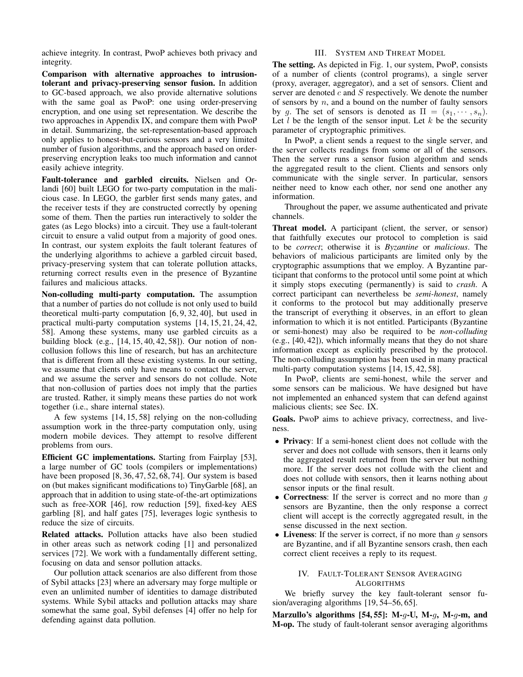achieve integrity. In contrast, PwoP achieves both privacy and integrity.

Comparison with alternative approaches to intrusiontolerant and privacy-preserving sensor fusion. In addition to GC-based approach, we also provide alternative solutions with the same goal as PwoP: one using order-preserving encryption, and one using set representation. We describe the two approaches in Appendix IX, and compare them with PwoP in detail. Summarizing, the set-representation-based approach only applies to honest-but-curious sensors and a very limited number of fusion algorithms, and the approach based on orderpreserving encryption leaks too much information and cannot easily achieve integrity.

Fault-tolerance and garbled circuits. Nielsen and Orlandi [60] built LEGO for two-party computation in the malicious case. In LEGO, the garbler first sends many gates, and the receiver tests if they are constructed correctly by opening some of them. Then the parties run interactively to solder the gates (as Lego blocks) into a circuit. They use a fault-tolerant circuit to ensure a valid output from a majority of good ones. In contrast, our system exploits the fault tolerant features of the underlying algorithms to achieve a garbled circuit based, privacy-preserving system that can tolerate pollution attacks, returning correct results even in the presence of Byzantine failures and malicious attacks.

Non-colluding multi-party computation. The assumption that a number of parties do not collude is not only used to build theoretical multi-party computation [6, 9, 32, 40], but used in practical multi-party computation systems [14, 15, 21, 24, 42, 58]. Among these systems, many use garbled circuits as a building block (e.g., [14, 15, 40, 42, 58]). Our notion of noncollusion follows this line of research, but has an architecture that is different from all these existing systems. In our setting, we assume that clients only have means to contact the server, and we assume the server and sensors do not collude. Note that non-collusion of parties does not imply that the parties are trusted. Rather, it simply means these parties do not work together (i.e., share internal states).

A few systems [14, 15, 58] relying on the non-colluding assumption work in the three-party computation only, using modern mobile devices. They attempt to resolve different problems from ours.

Efficient GC implementations. Starting from Fairplay [53], a large number of GC tools (compilers or implementations) have been proposed [8, 36, 47, 52, 68, 74]. Our system is based on (but makes significant modifications to) TinyGarble [68], an approach that in addition to using state-of-the-art optimizations such as free-XOR [46], row reduction [59], fixed-key AES garbling [8], and half gates [75], leverages logic synthesis to reduce the size of circuits.

Related attacks. Pollution attacks have also been studied in other areas such as network coding [1] and personalized services [72]. We work with a fundamentally different setting, focusing on data and sensor pollution attacks.

Our pollution attack scenarios are also different from those of Sybil attacks [23] where an adversary may forge multiple or even an unlimited number of identities to damage distributed systems. While Sybil attacks and pollution attacks may share somewhat the same goal, Sybil defenses [4] offer no help for defending against data pollution.

### III. SYSTEM AND THREAT MODEL

The setting. As depicted in Fig. 1, our system, PwoP, consists of a number of clients (control programs), a single server (proxy, averager, aggregator), and a set of sensors. Client and server are denoted  $c$  and  $S$  respectively. We denote the number of sensors by  $n$ , and a bound on the number of faulty sensors by g. The set of sensors is denoted as  $\Pi = (s_1, \dots, s_n)$ . Let  $l$  be the length of the sensor input. Let  $k$  be the security parameter of cryptographic primitives.

In PwoP, a client sends a request to the single server, and the server collects readings from some or all of the sensors. Then the server runs a sensor fusion algorithm and sends the aggregated result to the client. Clients and sensors only communicate with the single server. In particular, sensors neither need to know each other, nor send one another any information.

Throughout the paper, we assume authenticated and private channels.

Threat model. A participant (client, the server, or sensor) that faithfully executes our protocol to completion is said to be *correct*; otherwise it is *Byzantine* or *malicious*. The behaviors of malicious participants are limited only by the cryptographic assumptions that we employ. A Byzantine participant that conforms to the protocol until some point at which it simply stops executing (permanently) is said to *crash*. A correct participant can nevertheless be *semi-honest*, namely it conforms to the protocol but may additionally preserve the transcript of everything it observes, in an effort to glean information to which it is not entitled. Participants (Byzantine or semi-honest) may also be required to be *non-colluding* (e.g., [40, 42]), which informally means that they do not share information except as explicitly prescribed by the protocol. The non-colluding assumption has been used in many practical multi-party computation systems [14, 15, 42, 58].

In PwoP, clients are semi-honest, while the server and some sensors can be malicious. We have designed but have not implemented an enhanced system that can defend against malicious clients; see Sec. IX.

Goals. PwoP aims to achieve privacy, correctness, and liveness.

- Privacy: If a semi-honest client does not collude with the server and does not collude with sensors, then it learns only the aggregated result returned from the server but nothing more. If the server does not collude with the client and does not collude with sensors, then it learns nothing about sensor inputs or the final result.
- Correctness: If the server is correct and no more than  $g$ sensors are Byzantine, then the only response a correct client will accept is the correctly aggregated result, in the sense discussed in the next section.
- Liveness: If the server is correct, if no more than  $q$  sensors are Byzantine, and if all Byzantine sensors crash, then each correct client receives a reply to its request.

# IV. FAULT-TOLERANT SENSOR AVERAGING ALGORITHMS

We briefly survey the key fault-tolerant sensor fusion/averaging algorithms [19, 54–56, 65].

Marzullo's algorithms [54, 55]: M-g-U, M-g, M-g-m, and M-op. The study of fault-tolerant sensor averaging algorithms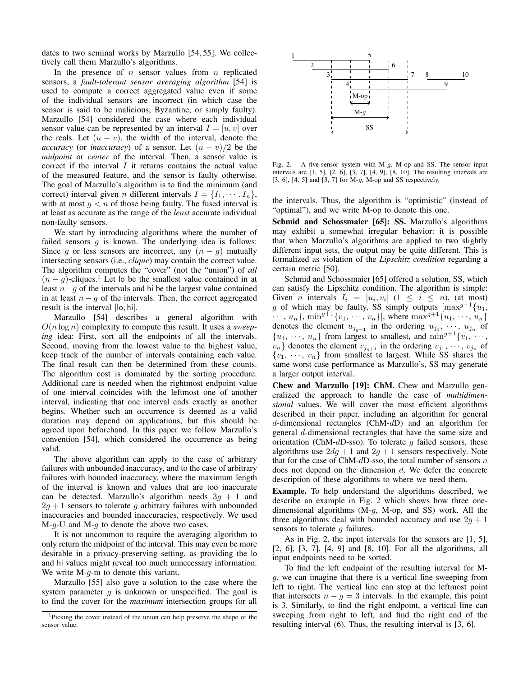dates to two seminal works by Marzullo [54, 55]. We collectively call them Marzullo's algorithms.

In the presence of  $n$  sensor values from  $n$  replicated sensors, a *fault-tolerant sensor averaging algorithm* [54] is used to compute a correct aggregated value even if some of the individual sensors are incorrect (in which case the sensor is said to be malicious, Byzantine, or simply faulty). Marzullo [54] considered the case where each individual sensor value can be represented by an interval  $I = [u, v]$  over the reals. Let  $(u - v)$ , the width of the interval, denote the *accuracy* (or *inaccuracy*) of a sensor. Let  $(u + v)/2$  be the *midpoint* or *center* of the interval. Then, a sensor value is correct if the interval  $I$  it returns contains the actual value of the measured feature, and the sensor is faulty otherwise. The goal of Marzullo's algorithm is to find the minimum (and correct) interval given *n* different intervals  $I = \{I_1, \dots, I_n\}$ , with at most  $g < n$  of those being faulty. The fused interval is at least as accurate as the range of the *least* accurate individual non-faulty sensors.

We start by introducing algorithms where the number of failed sensors  $g$  is known. The underlying idea is follows: Since g or less sensors are incorrect, any  $(n - g)$  mutually intersecting sensors (i.e., *clique*) may contain the correct value. The algorithm computes the "cover" (not the "union") of *all*  $(n - q)$ -cliques.<sup>1</sup> Let lo be the smallest value contained in at least  $n-q$  of the intervals and hi be the largest value contained in at least  $n - g$  of the intervals. Then, the correct aggregated result is the interval [lo, hi].

Marzullo [54] describes a general algorithm with  $O(n \log n)$  complexity to compute this result. It uses a *sweeping* idea: First, sort all the endpoints of all the intervals. Second, moving from the lowest value to the highest value, keep track of the number of intervals containing each value. The final result can then be determined from these counts. The algorithm cost is dominated by the sorting procedure. Additional care is needed when the rightmost endpoint value of one interval coincides with the leftmost one of another interval, indicating that one interval ends exactly as another begins. Whether such an occurrence is deemed as a valid duration may depend on applications, but this should be agreed upon beforehand. In this paper we follow Marzullo's convention [54], which considered the occurrence as being valid.

The above algorithm can apply to the case of arbitrary failures with unbounded inaccuracy, and to the case of arbitrary failures with bounded inaccuracy, where the maximum length of the interval is known and values that are too inaccurate can be detected. Marzullo's algorithm needs  $3q + 1$  and  $2g + 1$  sensors to tolerate g arbitrary failures with unbounded inaccuracies and bounded inaccuracies, respectively. We used  $M-g-U$  and  $M-g$  to denote the above two cases.

It is not uncommon to require the averaging algorithm to only return the midpoint of the interval. This may even be more desirable in a privacy-preserving setting, as providing the lo and hi values might reveal too much unnecessary information. We write  $M-g-m$  to denote this variant.

Marzullo [55] also gave a solution to the case where the system parameter  $q$  is unknown or unspecified. The goal is to find the cover for the *maximum* intersection groups for all



Fig. 2. A five-sensor system with M-g, M-op and SS. The sensor input intervals are [1, 5], [2, 6], [3, 7], [4, 9], [8, 10]. The resulting intervals are [3, 6], [4, 5] and [3, 7] for M-g, M-op and SS respectively.

the intervals. Thus, the algorithm is "optimistic" (instead of "optimal"), and we write M-op to denote this one.

Schmid and Schossmaier [65]: SS. Marzullo's algorithms may exhibit a somewhat irregular behavior: it is possible that when Marzullo's algorithms are applied to two slightly different input sets, the output may be quite different. This is formalized as violation of the *Lipschitz condition* regarding a certain metric [50].

Schmid and Schossmaier [65] offered a solution, SS, which can satisfy the Lipschitz condition. The algorithm is simple: Given *n* intervals  $I_i = [u_i, v_i]$   $(1 \le i \le n)$ , (at most) g of which may be faulty, SS simply outputs  $[\max^{g+1}{u_1},$  $\cdots, u_n\}, \min^{g+1}{v_1, \cdots, v_n\}, \text{ where } \max^{g+1}{u_1, \cdots, u_n\}$ denotes the element  $u_{j_{g+1}}$  in the ordering  $u_{j_1}, \dots, u_{j_n}$  of  $\{u_1, \dots, u_n\}$  from largest to smallest, and  $\min^{g+1}{v_1, \dots, v_n}$  $v_n$ } denotes the element  $v_{j_{g+1}}$  in the ordering  $v_{j_1}, \dots, v_{j_n}$  of  $\{v_1, \dots, v_n\}$  from smallest to largest. While SS shares the same worst case performance as Marzullo's, SS may generate a larger output interval.

Chew and Marzullo [19]: ChM. Chew and Marzullo generalized the approach to handle the case of *multidimensional* values. We will cover the most efficient algorithms described in their paper, including an algorithm for general d-dimensional rectangles (ChM-dD) and an algorithm for general d-dimensional rectangles that have the same size and orientation (ChM- $d$ D-sso). To tolerate g failed sensors, these algorithms use  $2dq + 1$  and  $2q + 1$  sensors respectively. Note that for the case of ChM- $d$ D-sso, the total number of sensors  $n$ does not depend on the dimension  $d$ . We defer the concrete description of these algorithms to where we need them.

Example. To help understand the algorithms described, we describe an example in Fig. 2 which shows how three onedimensional algorithms (M-g, M-op, and SS) work. All the three algorithms deal with bounded accuracy and use  $2q + 1$ sensors to tolerate  $g$  failures.

As in Fig. 2, the input intervals for the sensors are [1, 5], [2, 6], [3, 7], [4, 9] and [8, 10]. For all the algorithms, all input endpoints need to be sorted.

To find the left endpoint of the resulting interval for Mg, we can imagine that there is a vertical line sweeping from left to right. The vertical line can stop at the leftmost point that intersects  $n - g = 3$  intervals. In the example, this point is 3. Similarly, to find the right endpoint, a vertical line can sweeping from right to left, and find the right end of the resulting interval (6). Thus, the resulting interval is [3, 6].

<sup>&</sup>lt;sup>1</sup>Picking the cover instead of the union can help preserve the shape of the sensor value.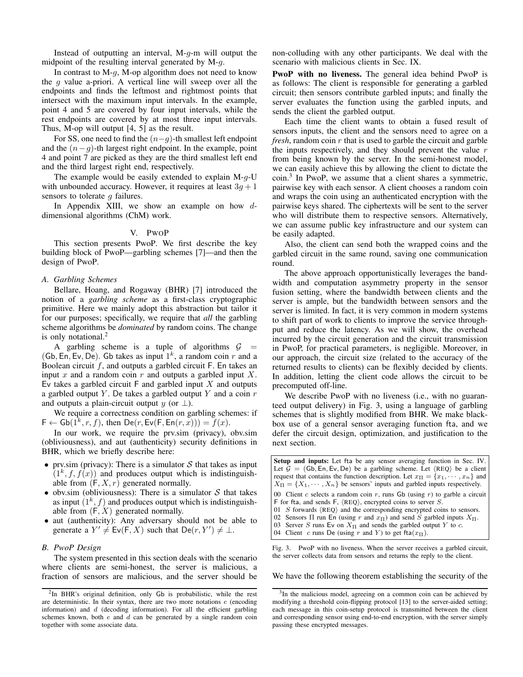Instead of outputting an interval,  $M-g-m$  will output the midpoint of the resulting interval generated by M-g.

In contrast to  $M-q$ ,  $M$ -op algorithm does not need to know the  $g$  value a-priori. A vertical line will sweep over all the endpoints and finds the leftmost and rightmost points that intersect with the maximum input intervals. In the example, point 4 and 5 are covered by four input intervals, while the rest endpoints are covered by at most three input intervals. Thus, M-op will output [4, 5] as the result.

For SS, one need to find the  $(n-g)$ -th smallest left endpoint and the  $(n-q)$ -th largest right endpoint. In the example, point 4 and point 7 are picked as they are the third smallest left end and the third largest right end, respectively.

The example would be easily extended to explain  $M-g-U$ with unbounded accuracy. However, it requires at least  $3g + 1$ sensors to tolerate  $q$  failures.

In Appendix XIII, we show an example on how  $d$ dimensional algorithms (ChM) work.

### V. PWOP

This section presents PwoP. We first describe the key building block of PwoP—garbling schemes [7]—and then the design of PwoP.

### *A. Garbling Schemes*

Bellare, Hoang, and Rogaway (BHR) [7] introduced the notion of a *garbling scheme* as a first-class cryptographic primitive. Here we mainly adopt this abstraction but tailor it for our purposes; specifically, we require that *all* the garbling scheme algorithms be *dominated* by random coins. The change is only notational. $<sup>2</sup>$ </sup>

A garbling scheme is a tuple of algorithms  $G =$ (Gb, En, Ev, De). Gb takes as input  $1^k$ , a random coin r and a Boolean circuit  $f$ , and outputs a garbled circuit F. En takes an input  $x$  and a random coin  $r$  and outputs a garbled input  $X$ . Ev takes a garbled circuit  $F$  and garbled input  $X$  and outputs a garbled output Y. De takes a garbled output Y and a coin  $r$ and outputs a plain-circuit output y (or  $\perp$ ).

We require a correctness condition on garbling schemes: if  $F \leftarrow Gb(1^k, r, f)$ , then  $De(r, Ev(F, En(r, x))) = f(x)$ .

In our work, we require the prv.sim (privacy), obv.sim (obliviousness), and aut (authenticity) security definitions in BHR, which we briefly describe here:

- prv.sim (privacy): There is a simulator  $S$  that takes as input  $(1^k, f, f(x))$  and produces output which is indistinguishable from  $(F, X, r)$  generated normally.
- obv.sim (obliviousness): There is a simulator  $S$  that takes as input  $(1^k, f)$  and produces output which is indistinguishable from  $(F, X)$  generated normally.
- aut (authenticity): Any adversary should not be able to generate a  $Y' \neq \text{Ev}(F, X)$  such that  $\text{De}(r, Y') \neq \bot$ .

# *B. PwoP Design*

The system presented in this section deals with the scenario where clients are semi-honest, the server is malicious, a fraction of sensors are malicious, and the server should be non-colluding with any other participants. We deal with the scenario with malicious clients in Sec. IX.

PwoP with no liveness. The general idea behind PwoP is as follows: The client is responsible for generating a garbled circuit; then sensors contribute garbled inputs; and finally the server evaluates the function using the garbled inputs, and sends the client the garbled output.

Each time the client wants to obtain a fused result of sensors inputs, the client and the sensors need to agree on a *fresh*, random coin r that is used to garble the circuit and garble the inputs respectively, and they should prevent the value  $r$ from being known by the server. In the semi-honest model, we can easily achieve this by allowing the client to dictate the coin.<sup>3</sup> In PwoP, we assume that a client shares a symmetric, pairwise key with each sensor. A client chooses a random coin and wraps the coin using an authenticated encryption with the pairwise keys shared. The ciphertexts will be sent to the server who will distribute them to respective sensors. Alternatively, we can assume public key infrastructure and our system can be easily adapted.

Also, the client can send both the wrapped coins and the garbled circuit in the same round, saving one communication round.

The above approach opportunistically leverages the bandwidth and computation asymmetry property in the sensor fusion setting, where the bandwidth between clients and the server is ample, but the bandwidth between sensors and the server is limited. In fact, it is very common in modern systems to shift part of work to clients to improve the service throughput and reduce the latency. As we will show, the overhead incurred by the circuit generation and the circuit transmission in PwoP, for practical parameters, is negligible. Moreover, in our approach, the circuit size (related to the accuracy of the returned results to clients) can be flexibly decided by clients. In addition, letting the client code allows the circuit to be precomputed off-line.

We describe PwoP with no liveness (i.e., with no guaranteed output delivery) in Fig. 3, using a language of garbling schemes that is slightly modified from BHR. We make blackbox use of a general sensor averaging function fta, and we defer the circuit design, optimization, and justification to the next section.

| <b>Setup and inputs:</b> Let fta be any sensor averaging function in Sec. IV.                    |  |  |  |  |  |  |  |  |
|--------------------------------------------------------------------------------------------------|--|--|--|--|--|--|--|--|
| Let $\mathcal{G} = (Gb, En, Ev, De)$ be a garbling scheme. Let $\langle REQ \rangle$ be a client |  |  |  |  |  |  |  |  |
| request that contains the function description. Let $x_{\Pi} = \{x_1, \dots, x_n\}$ and          |  |  |  |  |  |  |  |  |
| $X_{\Pi} = \{X_1, \dots, X_n\}$ be sensors' inputs and garbled inputs respectively.              |  |  |  |  |  |  |  |  |
| 00 Client c selects a random coin r, runs Gb (using r) to garble a circuit                       |  |  |  |  |  |  |  |  |
| F for fta, and sends F, $\langle$ REQ $\rangle$ , encrypted coins to server S.                   |  |  |  |  |  |  |  |  |
| 01 S forwards $\langle$ REQ $\rangle$ and the corresponding encrypted coins to sensors.          |  |  |  |  |  |  |  |  |
| 02 Sensors $\Pi$ run En (using r and $x_{\Pi}$ ) and send S garbled inputs $X_{\Pi}$ .           |  |  |  |  |  |  |  |  |
| 03 Server S runs Ev on $X_{\Pi}$ and sends the garbled output Y to c.                            |  |  |  |  |  |  |  |  |
| 04 Client c runs De (using r and Y) to get fta $(x_{\Pi})$ .                                     |  |  |  |  |  |  |  |  |
| PwoP with no liveness. When the server receives a garbled circuit<br>$\operatorname{Fi}\sigma$ 3 |  |  |  |  |  |  |  |  |

PwoP with no liveness. When the server receives a the server collects data from sensors and returns the reply to the client.

We have the following theorem establishing the security of the

<sup>&</sup>lt;sup>2</sup>In BHR's original definition, only Gb is probabilistic, while the rest are deterministic. In their syntax, there are two more notations  $e$  (encoding information) and  $d$  (decoding information). For all the efficient garbling schemes known, both  $e$  and  $d$  can be generated by a single random coin together with some associate data.

<sup>&</sup>lt;sup>3</sup>In the malicious model, agreeing on a common coin can be achieved by modifying a threshold coin-flipping protocol [13] to the server-aided setting; each message in this coin-setup protocol is transmitted between the client and corresponding sensor using end-to-end encryption, with the server simply passing these encrypted messages.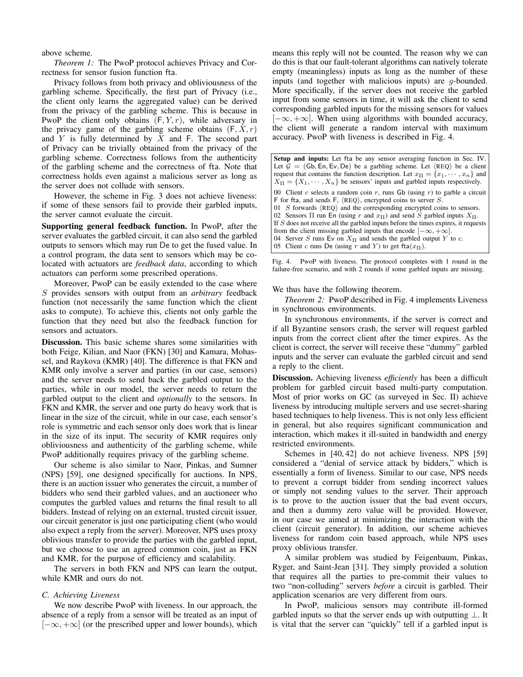above scheme.

*Theorem 1:* The PwoP protocol achieves Privacy and Correctness for sensor fusion function fta.

Privacy follows from both privacy and obliviousness of the garbling scheme. Specifically, the first part of Privacy (i.e., the client only learns the aggregated value) can be derived from the privacy of the garbling scheme. This is because in PwoP the client only obtains  $(F, Y, r)$ , while adversary in the privacy game of the garbling scheme obtains  $(F, X, r)$ and  $Y$  is fully determined by  $X$  and  $F$ . The second part of Privacy can be trivially obtained from the privacy of the garbling scheme. Correctness follows from the authenticity of the garbling scheme and the correctness of fta. Note that correctness holds even against a malicious server as long as the server does not collude with sensors.

However, the scheme in Fig. 3 does not achieve liveness: if some of these sensors fail to provide their garbled inputs, the server cannot evaluate the circuit.

Supporting general feedback function. In PwoP, after the server evaluates the garbled circuit, it can also send the garbled outputs to sensors which may run De to get the fused value. In a control program, the data sent to sensors which may be colocated with actuators are *feedback data*, according to which actuators can perform some prescribed operations.

Moreover, PwoP can be easily extended to the case where S provides sensors with output from an *arbitrary* feedback function (not necessarily the same function which the client asks to compute). To achieve this, clients not only garble the function that they need but also the feedback function for sensors and actuators.

Discussion. This basic scheme shares some similarities with both Feige, Kilian, and Naor (FKN) [30] and Kamara, Mohassel, and Raykova (KMR) [40]. The difference is that FKN and KMR only involve a server and parties (in our case, sensors) and the server needs to send back the garbled output to the parties, while in our model, the server needs to return the garbled output to the client and *optionally* to the sensors. In FKN and KMR, the server and one party do heavy work that is linear in the size of the circuit, while in our case, each sensor's role is symmetric and each sensor only does work that is linear in the size of its input. The security of KMR requires only obliviousness and authenticity of the garbling scheme, while PwoP additionally requires privacy of the garbling scheme.

Our scheme is also similar to Naor, Pinkas, and Sumner (NPS) [59], one designed specifically for auctions. In NPS, there is an auction issuer who generates the circuit, a number of bidders who send their garbled values, and an auctioneer who computes the garbled values and returns the final result to all bidders. Instead of relying on an external, trusted circuit issuer, our circuit generator is just one participating client (who would also expect a reply from the server). Moreover, NPS uses proxy oblivious transfer to provide the parties with the garbled input, but we choose to use an agreed common coin, just as FKN and KMR, for the purpose of efficiency and scalability.

The servers in both FKN and NPS can learn the output, while KMR and ours do not.

### *C. Achieving Liveness*

We now describe PwoP with liveness. In our approach, the absence of a reply from a sensor will be treated as an input of  $[-\infty, +\infty]$  (or the prescribed upper and lower bounds), which means this reply will not be counted. The reason why we can do this is that our fault-tolerant algorithms can natively tolerate empty (meaningless) inputs as long as the number of these inputs (and together with malicious inputs) are g-bounded. More specifically, if the server does not receive the garbled input from some sensors in time, it will ask the client to send corresponding garbled inputs for the missing sensors for values  $[-\infty, +\infty]$ . When using algorithms with bounded accuracy, the client will generate a random interval with maximum accuracy. PwoP with liveness is described in Fig. 4.

Setup and inputs: Let fta be any sensor averaging function in Sec. IV. Let  $G = (Gb, En, Ev, De)$  be a garbling scheme. Let  $\langle REQ \rangle$  be a client request that contains the function description. Let  $x_{\Pi} = \{x_1, \dots, x_n\}$  and  $X_{\Pi} = \{X_1, \cdots, X_n\}$  be sensors' inputs and garbled inputs respectively. 00 Client  $c$  selects a random coin  $r$ , runs Gb (using  $r$ ) to garble a circuit F for fta, and sends F,  $\langle$ REQ $\rangle$ , encrypted coins to server S. 01  $S$  forwards  $\langle$ REQ $\rangle$  and the corresponding encrypted coins to sensors. 02 Sensors  $\Pi$  run En (using r and  $x_{\Pi}$ ) and send S garbled inputs  $X_{\Pi}$ . If  $S$  does not receive all the garbled inputs before the times expires, it requests from the client missing garbled inputs that encode  $[-\infty, +\infty]$ . 04 Server S runs Ev on  $X_{\Pi}$  and sends the garbled output Y to c. 05 Client c runs De (using r and Y) to get fta $(x_{\Pi})$ .

Fig. 4. PwoP with liveness. The protocol completes with 1 round in the failure-free scenario, and with 2 rounds if some garbled inputs are missing.

We thus have the following theorem.

*Theorem 2:* PwoP described in Fig. 4 implements Liveness in synchronous environments.

In synchronous environments, if the server is correct and if all Byzantine sensors crash, the server will request garbled inputs from the correct client after the timer expires. As the client is correct, the server will receive these "dummy" garbled inputs and the server can evaluate the garbled circuit and send a reply to the client.

Discussion. Achieving liveness *efficiently* has been a difficult problem for garbled circuit based multi-party computation. Most of prior works on GC (as surveyed in Sec. II) achieve liveness by introducing multiple servers and use secret-sharing based techniques to help liveness. This is not only less efficient in general, but also requires significant communication and interaction, which makes it ill-suited in bandwidth and energy restricted environments.

Schemes in [40, 42] do not achieve liveness. NPS [59] considered a "denial of service attack by bidders," which is essentially a form of liveness. Similar to our case, NPS needs to prevent a corrupt bidder from sending incorrect values or simply not sending values to the server. Their approach is to prove to the auction issuer that the bad event occurs, and then a dummy zero value will be provided. However, in our case we aimed at minimizing the interaction with the client (circuit generator). In addition, our scheme achieves liveness for random coin based approach, while NPS uses proxy oblivious transfer.

A similar problem was studied by Feigenbaum, Pinkas, Ryger, and Saint-Jean [31]. They simply provided a solution that requires all the parties to pre-commit their values to two "non-colluding" servers *before* a circuit is garbled. Their application scenarios are very different from ours.

In PwoP, malicious sensors may contribute ill-formed garbled inputs so that the server ends up with outputting  $\bot$ . It is vital that the server can "quickly" tell if a garbled input is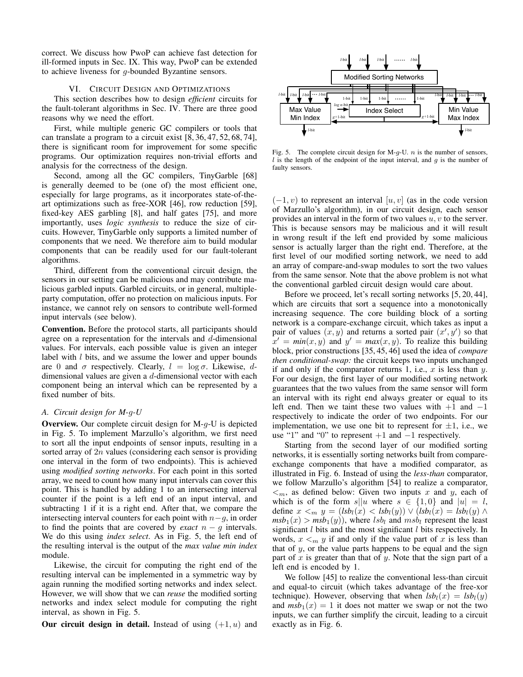correct. We discuss how PwoP can achieve fast detection for ill-formed inputs in Sec. IX. This way, PwoP can be extended to achieve liveness for g-bounded Byzantine sensors.

# VI. CIRCUIT DESIGN AND OPTIMIZATIONS

This section describes how to design *efficient* circuits for the fault-tolerant algorithms in Sec. IV. There are three good reasons why we need the effort.

First, while multiple generic GC compilers or tools that can translate a program to a circuit exist [8, 36, 47, 52, 68, 74], there is significant room for improvement for some specific programs. Our optimization requires non-trivial efforts and analysis for the correctness of the design.

Second, among all the GC compilers, TinyGarble [68] is generally deemed to be (one of) the most efficient one, especially for large programs, as it incorporates state-of-theart optimizations such as free-XOR [46], row reduction [59], fixed-key AES garbling [8], and half gates [75], and more importantly, uses *logic synthesis* to reduce the size of circuits. However, TinyGarble only supports a limited number of components that we need. We therefore aim to build modular components that can be readily used for our fault-tolerant algorithms.

Third, different from the conventional circuit design, the sensors in our setting can be malicious and may contribute malicious garbled inputs. Garbled circuits, or in general, multipleparty computation, offer no protection on malicious inputs. For instance, we cannot rely on sensors to contribute well-formed input intervals (see below).

Convention. Before the protocol starts, all participants should agree on a representation for the intervals and  $d$ -dimensional values. For intervals, each possible value is given an integer label with  $l$  bits, and we assume the lower and upper bounds are 0 and  $\sigma$  respectively. Clearly,  $l = \log \sigma$ . Likewise, ddimensional values are given a  $d$ -dimensional vector with each component being an interval which can be represented by a fixed number of bits.

### *A. Circuit design for M-*g*-U*

**Overview.** Our complete circuit design for  $M-q-U$  is depicted in Fig. 5. To implement Marzullo's algorithm, we first need to sort all the input endpoints of sensor inputs, resulting in a sorted array of  $2n$  values (considering each sensor is providing one interval in the form of two endpoints). This is achieved using *modified sorting networks*. For each point in this sorted array, we need to count how many input intervals can cover this point. This is handled by adding 1 to an intersecting interval counter if the point is a left end of an input interval, and subtracting 1 if it is a right end. After that, we compare the intersecting interval counters for each point with  $n-g$ , in order to find the points that are covered by *exact*  $n - q$  intervals. We do this using *index select*. As in Fig. 5, the left end of the resulting interval is the output of the *max value min index* module.

Likewise, the circuit for computing the right end of the resulting interval can be implemented in a symmetric way by again running the modified sorting networks and index select. However, we will show that we can *reuse* the modified sorting networks and index select module for computing the right interval, as shown in Fig. 5.

Our circuit design in detail. Instead of using  $(+1, u)$  and



Fig. 5. The complete circuit design for M- $g$ -U.  $n$  is the number of sensors,  $l$  is the length of the endpoint of the input interval, and  $g$  is the number of faulty sensors.

 $(-1, v)$  to represent an interval  $[u, v]$  (as in the code version of Marzullo's algorithm), in our circuit design, each sensor provides an interval in the form of two values  $u, v$  to the server. This is because sensors may be malicious and it will result in wrong result if the left end provided by some malicious sensor is actually larger than the right end. Therefore, at the first level of our modified sorting network, we need to add an array of compare-and-swap modules to sort the two values from the same sensor. Note that the above problem is not what the conventional garbled circuit design would care about.

Before we proceed, let's recall sorting networks [5, 20, 44], which are circuits that sort a sequence into a monotonically increasing sequence. The core building block of a sorting network is a compare-exchange circuit, which takes as input a pair of values  $(x, y)$  and returns a sorted pair  $(x', y')$  so that  $x' = min(x, y)$  and  $y' = max(x, y)$ . To realize this building block, prior constructions [35, 45, 46] used the idea of *compare then conditional-swap:* the circuit keeps two inputs unchanged if and only if the comparator returns 1, i.e.,  $x$  is less than  $y$ . For our design, the first layer of our modified sorting network guarantees that the two values from the same sensor will form an interval with its right end always greater or equal to its left end. Then we taint these two values with  $+1$  and  $-1$ respectively to indicate the order of two endpoints. For our implementation, we use one bit to represent for  $\pm 1$ , i.e., we use "1" and "0" to represent  $+1$  and  $-1$  respectively.

Starting from the second layer of our modified sorting networks, it is essentially sorting networks built from compareexchange components that have a modified comparator, as illustrated in Fig. 6. Instead of using the *less-than* comparator, we follow Marzullo's algorithm [54] to realize a comparator,  $\leq_m$ , as defined below: Given two inputs x and y, each of which is of the form  $s||u$  where  $s \in \{1,0\}$  and  $|u| = l$ , define  $x \leq_m y = (lsb_l(x) < lsb_l(y)) \vee (lsb_l(x) = lsb_l(y) \wedge$  $msb_1(x) > msb_1(y)$ , where  $lsb_l$  and  $msb_l$  represent the least significant  $l$  bits and the most significant  $l$  bits respectively. In words,  $x \leq_m y$  if and only if the value part of x is less than that of  $y$ , or the value parts happens to be equal and the sign part of x is greater than that of y. Note that the sign part of a left end is encoded by 1.

We follow [45] to realize the conventional less-than circuit and equal-to circuit (which takes advantage of the free-xor technique). However, observing that when  $lsb_l(x) = lsb_l(y)$ and  $msb_1(x) = 1$  it does not matter we swap or not the two inputs, we can further simplify the circuit, leading to a circuit exactly as in Fig. 6.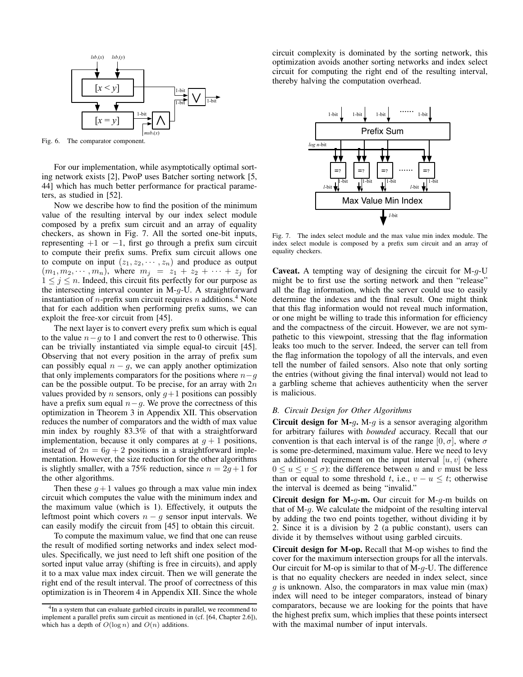

Fig. 6. The comparator component.

For our implementation, while asymptotically optimal sorting network exists [2], PwoP uses Batcher sorting network [5, 44] which has much better performance for practical parameters, as studied in [52].

Now we describe how to find the position of the minimum value of the resulting interval by our index select module composed by a prefix sum circuit and an array of equality checkers, as shown in Fig. 7. All the sorted one-bit inputs, representing  $+1$  or  $-1$ , first go through a prefix sum circuit to compute their prefix sums. Prefix sum circuit allows one to compute on input  $(z_1, z_2, \dots, z_n)$  and produce as output  $(m_1, m_2, \dots, m_n)$ , where  $m_j = z_1 + z_2 + \dots + z_j$  for  $1 \leq j \leq n$ . Indeed, this circuit fits perfectly for our purpose as the intersecting interval counter in  $M-g-U$ . A straightforward instantiation of *n*-prefix sum circuit requires *n* additions.<sup>4</sup> Note that for each addition when performing prefix sums, we can exploit the free-xor circuit from [45].

The next layer is to convert every prefix sum which is equal to the value  $n-g$  to 1 and convert the rest to 0 otherwise. This can be trivially instantiated via simple equal-to circuit [45]. Observing that not every position in the array of prefix sum can possibly equal  $n - g$ , we can apply another optimization that only implements comparators for the positions where  $n-g$ can be the possible output. To be precise, for an array with  $2n$ values provided by *n* sensors, only  $g+1$  positions can possibly have a prefix sum equal  $n-g$ . We prove the correctness of this optimization in Theorem 3 in Appendix XII. This observation reduces the number of comparators and the width of max value min index by roughly 83.3% of that with a straightforward implementation, because it only compares at  $g + 1$  positions, instead of  $2n = 6g + 2$  positions in a straightforward implementation. However, the size reduction for the other algorithms is slightly smaller, with a 75% reduction, since  $n = 2g + 1$  for the other algorithms.

Then these  $q+1$  values go through a max value min index circuit which computes the value with the minimum index and the maximum value (which is 1). Effectively, it outputs the leftmost point which covers  $n - g$  sensor input intervals. We can easily modify the circuit from [45] to obtain this circuit.

To compute the maximum value, we find that one can reuse the result of modified sorting networks and index select modules. Specifically, we just need to left shift one position of the sorted input value array (shifting is free in circuits), and apply it to a max value max index circuit. Then we will generate the right end of the result interval. The proof of correctness of this optimization is in Theorem 4 in Appendix XII. Since the whole

circuit complexity is dominated by the sorting network, this optimization avoids another sorting networks and index select circuit for computing the right end of the resulting interval, thereby halving the computation overhead.



Fig. 7. The index select module and the max value min index module. The index select module is composed by a prefix sum circuit and an array of equality checkers.

**Caveat.** A tempting way of designing the circuit for  $M-g-U$ might be to first use the sorting network and then "release" all the flag information, which the server could use to easily determine the indexes and the final result. One might think that this flag information would not reveal much information, or one might be willing to trade this information for efficiency and the compactness of the circuit. However, we are not sympathetic to this viewpoint, stressing that the flag information leaks too much to the server. Indeed, the server can tell from the flag information the topology of all the intervals, and even tell the number of failed sensors. Also note that only sorting the entries (without giving the final interval) would not lead to a garbling scheme that achieves authenticity when the server is malicious.

### *B. Circuit Design for Other Algorithms*

Circuit design for M- $g$ . M- $g$  is a sensor averaging algorithm for arbitrary failures with *bounded* accuracy. Recall that our convention is that each interval is of the range  $[0, \sigma]$ , where  $\sigma$ is some pre-determined, maximum value. Here we need to levy an additional requirement on the input interval  $[u, v]$  (where  $0 \le u \le v \le \sigma$ : the difference between u and v must be less than or equal to some threshold t, i.e.,  $v - u \leq t$ ; otherwise the interval is deemed as being "invalid."

**Circuit design for M-g-m.** Our circuit for M-g-m builds on that of M-g. We calculate the midpoint of the resulting interval by adding the two end points together, without dividing it by 2. Since it is a division by 2 (a public constant), users can divide it by themselves without using garbled circuits.

Circuit design for M-op. Recall that M-op wishes to find the cover for the maximum intersection groups for all the intervals. Our circuit for M-op is similar to that of M- $q$ -U. The difference is that no equality checkers are needed in index select, since  $g$  is unknown. Also, the comparators in max value min (max) index will need to be integer comparators, instead of binary comparators, because we are looking for the points that have the highest prefix sum, which implies that these points intersect with the maximal number of input intervals.

<sup>&</sup>lt;sup>4</sup>In a system that can evaluate garbled circuits in parallel, we recommend to implement a parallel prefix sum circuit as mentioned in (cf. [64, Chapter 2.6]), which has a depth of  $O(\log n)$  and  $O(n)$  additions.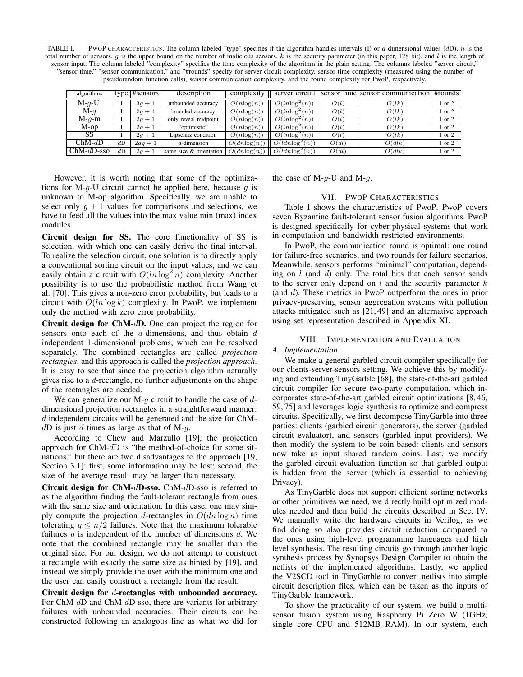TABLE I. PWOP CHARACTERISTICS. The column labeled "type" specifies if the algorithm handles intervals (I) or d-dimensional values  $(dD)$ . n is the total number of sensors, g is the upper bound on the number of malicious sensors, k is the security parameter (in this paper, 128 bit), and l is the length of sensor input. The column labeled "complexity" specifies the time complexity of the algorithm in the plain setting. The columns labeled "server circuit," "sensor time," "sensor communication," and "#rounds" specify for server circuit complexity, sensor time complexity (measured using the number of pseudorandom function calls), sensor communication complexity, and the round complexity for PwoP, respectively.

| algorithms   |    | type $ \#$ sensors $ $ | description             | complexity      | server circuit     |       | sensor time sensor communication #rounds |            |
|--------------|----|------------------------|-------------------------|-----------------|--------------------|-------|------------------------------------------|------------|
| $M-q-U$      |    | $3q+1$                 | unbounded accuracy      | $O(n \log(n))$  | $O(ln \log^2(n))$  | O(l)  | O(lk)                                    | 1 or 2     |
| $M-q$        |    | $2g + 1$               | bounded accuracy        | $O(n \log(n))$  | $O(ln \log^2(n))$  | O(l)  | O(lk)                                    | 1 or 2     |
| $M-q-m$      |    | $2q + 1$               | only reveal midpoint    | $O(n \log(n))$  | $O(ln \log^2(n))$  | O(l)  | O(lk)                                    | 1 or 2     |
| $M$ -op      |    | $2q + 1$               | "optimistic"            | $O(n \log(n))$  | $O(ln \log^2(n))$  | O(l)  | O(lk)                                    | $1$ or $2$ |
| SS           |    | $2q + 1$               | Lipschitz condition     | $O(n \log(n))$  | $O(ln \log^2(n))$  | O(l)  | O(lk)                                    | 1 or 2     |
| $ChM-dD$     | dD | $2dq + 1$              | $d$ -dimension          | $O(dn \log(n))$ | $O(ldn \log^2(n))$ | O(dl) | O(dlk)                                   | 1 or 2     |
| $ChM-dD-sso$ | dD | $2q + 1$               | same size & orientation | $O(dn \log(n))$ | $O(ldn \log^2(n))$ | O(dl) | O(dlk)                                   | 1 or 2     |

However, it is worth noting that some of the optimizations for M-g-U circuit cannot be applied here, because  $g$  is unknown to M-op algorithm. Specifically, we are unable to select only  $g + 1$  values for comparisons and selections, we have to feed all the values into the max value min (max) index modules.

Circuit design for SS. The core functionality of SS is selection, with which one can easily derive the final interval. To realize the selection circuit, one solution is to directly apply a conventional sorting circuit on the input values, and we can easily obtain a circuit with  $O(ln \log^2 n)$  complexity. Another possibility is to use the probabilistic method from Wang et al. [70]. This gives a non-zero error probability, but leads to a circuit with  $O(ln \log k)$  complexity. In PwoP, we implement only the method with zero error probability.

Circuit design for ChM-dD. One can project the region for sensors onto each of the  $d$ -dimensions, and thus obtain  $d$ independent 1-dimensional problems, which can be resolved separately. The combined rectangles are called *projection rectangles*, and this approach is called the *projection approach*. It is easy to see that since the projection algorithm naturally gives rise to a  $d$ -rectangle, no further adjustments on the shape of the rectangles are needed.

We can generalize our M- $q$  circuit to handle the case of  $d$ dimensional projection rectangles in a straightforward manner:  $d$  independent circuits will be generated and the size for ChM $dD$  is just d times as large as that of M-g.

According to Chew and Marzullo [19], the projection approach for ChM-dD is "the method-of-choice for some situations," but there are two disadvantages to the approach [19, Section 3.1]: first, some information may be lost; second, the size of the average result may be larger than necessary.

Circuit design for ChM-dD-sso. ChM-dD-sso is referred to as the algorithm finding the fault-tolerant rectangle from ones with the same size and orientation. In this case, one may simply compute the projection d-rectangles in  $O(dn \log n)$  time tolerating  $g \leq n/2$  failures. Note that the maximum tolerable failures  $q$  is independent of the number of dimensions  $d$ . We note that the combined rectangle may be smaller than the original size. For our design, we do not attempt to construct a rectangle with exactly the same size as hinted by [19], and instead we simply provide the user with the minimum one and the user can easily construct a rectangle from the result.

Circuit design for d-rectangles with unbounded accuracy. For ChM-dD and ChM-dD-sso, there are variants for arbitrary failures with unbounded accuracies. Their circuits can be constructed following an analogous line as what we did for

the case of  $M-g-U$  and  $M-g$ .

### VII. PWOP CHARACTERISTICS

Table I shows the characteristics of PwoP. PwoP covers seven Byzantine fault-tolerant sensor fusion algorithms. PwoP is designed specifically for cyber-physical systems that work in computation and bandwidth restricted environments.

In PwoP, the communication round is optimal: one round for failure-free scenarios, and two rounds for failure scenarios. Meanwhile, sensors performs "minimal" computation, depending on  $l$  (and  $d$ ) only. The total bits that each sensor sends to the server only depend on  $l$  and the security parameter  $k$ (and d). These metrics in PwoP outperform the ones in prior privacy-preserving sensor aggregation systems with pollution attacks mitigated such as [21, 49] and an alternative approach using set representation described in Appendix XI.

# VIII. IMPLEMENTATION AND EVALUATION

### *A. Implementation*

We make a general garbled circuit compiler specifically for our clients-server-sensors setting. We achieve this by modifying and extending TinyGarble [68], the state-of-the-art garbled circuit compiler for secure two-party computation, which incorporates state-of-the-art garbled circuit optimizations [8, 46, 59, 75] and leverages logic synthesis to optimize and compress circuits. Specifically, we first decompose TinyGarble into three parties: clients (garbled circuit generators), the server (garbled circuit evaluator), and sensors (garbled input providers). We then modify the system to be coin-based: clients and sensors now take as input shared random coins. Last, we modify the garbled circuit evaluation function so that garbled output is hidden from the server (which is essential to achieving Privacy).

As TinyGarble does not support efficient sorting networks or other primitives we need, we directly build optimized modules needed and then build the circuits described in Sec. IV. We manually write the hardware circuits in Verilog, as we find doing so also provides circuit reduction compared to the ones using high-level programming languages and high level synthesis. The resulting circuits go through another logic synthesis process by Synopsys Design Compiler to obtain the netlists of the implemented algorithms. Lastly, we applied the V2SCD tool in TinyGarble to convert netlists into simple circuit description files, which can be taken as the inputs of TinyGarble framework.

To show the practicality of our system, we build a multisensor fusion system using Raspberry Pi Zero W (1GHz, single core CPU and 512MB RAM). In our system, each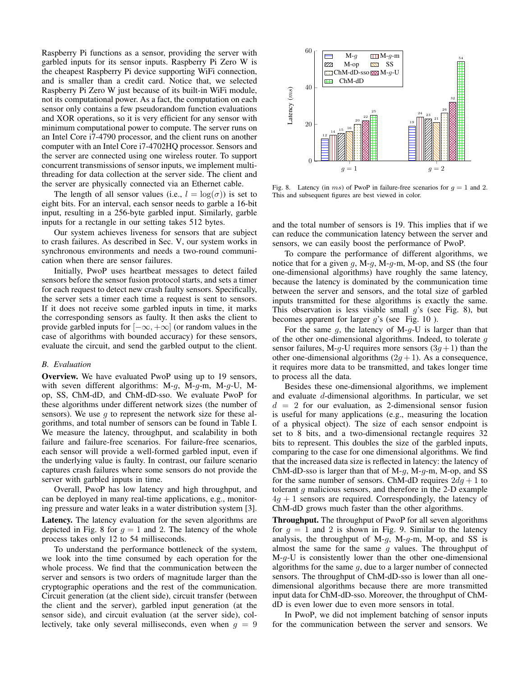Raspberry Pi functions as a sensor, providing the server with garbled inputs for its sensor inputs. Raspberry Pi Zero W is the cheapest Raspberry Pi device supporting WiFi connection, and is smaller than a credit card. Notice that, we selected Raspberry Pi Zero W just because of its built-in WiFi module, not its computational power. As a fact, the computation on each sensor only contains a few pseudorandom function evaluations and XOR operations, so it is very efficient for any sensor with minimum computational power to compute. The server runs on an Intel Core i7-4790 processor, and the client runs on another computer with an Intel Core i7-4702HQ processor. Sensors and the server are connected using one wireless router. To support concurrent transmissions of sensor inputs, we implement multithreading for data collection at the server side. The client and the server are physically connected via an Ethernet cable.

The length of all sensor values (i.e.,  $l = \log(\sigma)$ ) is set to eight bits. For an interval, each sensor needs to garble a 16-bit input, resulting in a 256-byte garbled input. Similarly, garble inputs for a rectangle in our setting takes 512 bytes.

Our system achieves liveness for sensors that are subject to crash failures. As described in Sec. V, our system works in synchronous environments and needs a two-round communication when there are sensor failures.

Initially, PwoP uses heartbeat messages to detect failed sensors before the sensor fusion protocol starts, and sets a timer for each request to detect new crash faulty sensors. Specifically, the server sets a timer each time a request is sent to sensors. If it does not receive some garbled inputs in time, it marks the corresponding sensors as faulty. It then asks the client to provide garbled inputs for  $[-\infty, +\infty]$  (or random values in the case of algorithms with bounded accuracy) for these sensors, evaluate the circuit, and send the garbled output to the client.

### *B. Evaluation*

Overview. We have evaluated PwoP using up to 19 sensors, with seven different algorithms: M- $q$ , M- $q$ -m, M- $q$ -U, Mop, SS, ChM-dD, and ChM-dD-sso. We evaluate PwoP for these algorithms under different network sizes (the number of sensors). We use  $g$  to represent the network size for these algorithms, and total number of sensors can be found in Table I. We measure the latency, throughput, and scalability in both failure and failure-free scenarios. For failure-free scenarios, each sensor will provide a well-formed garbled input, even if the underlying value is faulty. In contrast, our failure scenario captures crash failures where some sensors do not provide the server with garbled inputs in time.

Overall, PwoP has low latency and high throughput, and can be deployed in many real-time applications, e.g., monitoring pressure and water leaks in a water distribution system [3].

Latency. The latency evaluation for the seven algorithms are depicted in Fig. 8 for  $q = 1$  and 2. The latency of the whole process takes only 12 to 54 milliseconds.

To understand the performance bottleneck of the system, we look into the time consumed by each operation for the whole process. We find that the communication between the server and sensors is two orders of magnitude larger than the cryptographic operations and the rest of the communication. Circuit generation (at the client side), circuit transfer (between the client and the server), garbled input generation (at the sensor side), and circuit evaluation (at the server side), collectively, take only several milliseconds, even when  $g = 9$ 



Fig. 8. Latency (in ms) of PwoP in failure-free scenarios for  $q = 1$  and 2. This and subsequent figures are best viewed in color.

and the total number of sensors is 19. This implies that if we can reduce the communication latency between the server and sensors, we can easily boost the performance of PwoP.

To compare the performance of different algorithms, we notice that for a given  $g$ , M- $g$ , M- $g$ -m, M-op, and SS (the four one-dimensional algorithms) have roughly the same latency, because the latency is dominated by the communication time between the server and sensors, and the total size of garbled inputs transmitted for these algorithms is exactly the same. This observation is less visible small  $g$ 's (see Fig. 8), but becomes apparent for larger  $g$ 's (see Fig. 10).

For the same  $q$ , the latency of M- $q$ -U is larger than that of the other one-dimensional algorithms. Indeed, to tolerate  $g$ sensor failures, M-g-U requires more sensors  $(3g + 1)$  than the other one-dimensional algorithms  $(2g + 1)$ . As a consequence, it requires more data to be transmitted, and takes longer time to process all the data.

Besides these one-dimensional algorithms, we implement and evaluate d-dimensional algorithms. In particular, we set  $d = 2$  for our evaluation, as 2-dimensional sensor fusion is useful for many applications (e.g., measuring the location of a physical object). The size of each sensor endpoint is set to 8 bits, and a two-dimensional rectangle requires 32 bits to represent. This doubles the size of the garbled inputs, comparing to the case for one dimensional algorithms. We find that the increased data size is reflected in latency: the latency of ChM-dD-sso is larger than that of M-q, M-q-m, M-op, and SS for the same number of sensors. ChM-dD requires  $2dq + 1$  to tolerant  $g$  malicious sensors, and therefore in the 2-D example  $4g + 1$  sensors are required. Correspondingly, the latency of ChM-dD grows much faster than the other algorithms.

Throughput. The throughput of PwoP for all seven algorithms for  $g = 1$  and 2 is shown in Fig. 9. Similar to the latency analysis, the throughput of  $M-g$ ,  $M-g$ -m,  $M$ -op, and SS is almost the same for the same  $g$  values. The throughput of M-g-U is consistently lower than the other one-dimensional algorithms for the same  $g$ , due to a larger number of connected sensors. The throughput of ChM-dD-sso is lower than all onedimensional algorithms because there are more transmitted input data for ChM-dD-sso. Moreover, the throughput of ChMdD is even lower due to even more sensors in total.

In PwoP, we did not implement batching of sensor inputs for the communication between the server and sensors. We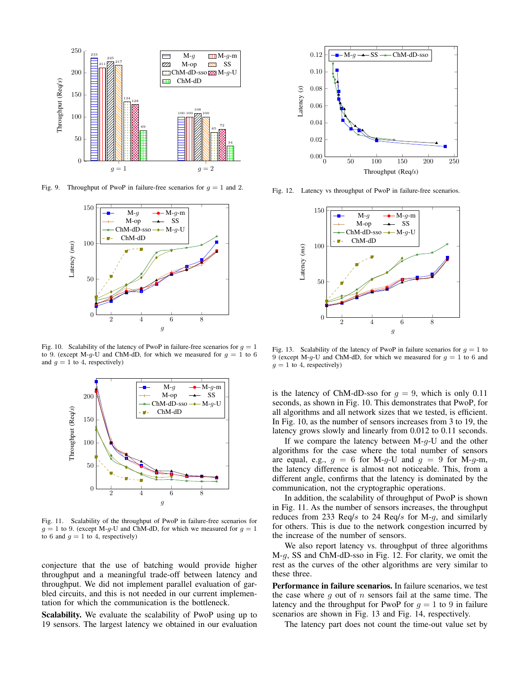

Fig. 9. Throughput of PwoP in failure-free scenarios for  $q = 1$  and 2.



Fig. 10. Scalability of the latency of PwoP in failure-free scenarios for  $g = 1$ to 9. (except M-g-U and ChM-dD, for which we measured for  $g = 1$  to 6 and  $g = 1$  to 4, respectively)



Fig. 11. Scalability of the throughput of PwoP in failure-free scenarios for  $g = 1$  to 9. (except M-g-U and ChM-dD, for which we measured for  $g = 1$ to 6 and  $g = 1$  to 4, respectively)

conjecture that the use of batching would provide higher throughput and a meaningful trade-off between latency and throughput. We did not implement parallel evaluation of garbled circuits, and this is not needed in our current implementation for which the communication is the bottleneck.

Scalability. We evaluate the scalability of PwoP using up to 19 sensors. The largest latency we obtained in our evaluation



Fig. 12. Latency vs throughput of PwoP in failure-free scenarios.



Fig. 13. Scalability of the latency of PwoP in failure scenarios for  $q = 1$  to 9 (except M-g-U and ChM-dD, for which we measured for  $g = 1$  to 6 and  $g = 1$  to 4, respectively)

is the latency of ChM-dD-sso for  $g = 9$ , which is only 0.11 seconds, as shown in Fig. 10. This demonstrates that PwoP, for all algorithms and all network sizes that we tested, is efficient. In Fig. 10, as the number of sensors increases from 3 to 19, the latency grows slowly and linearly from 0.012 to 0.11 seconds.

If we compare the latency between  $M-g-U$  and the other algorithms for the case where the total number of sensors are equal, e.g.,  $g = 6$  for M-g-U and  $g = 9$  for M-g-m, the latency difference is almost not noticeable. This, from a different angle, confirms that the latency is dominated by the communication, not the cryptographic operations.

In addition, the scalability of throughput of PwoP is shown in Fig. 11. As the number of sensors increases, the throughput reduces from 233 Req/s to 24 Req/s for M-g, and similarly for others. This is due to the network congestion incurred by the increase of the number of sensors.

We also report latency vs. throughput of three algorithms M-g, SS and ChM-dD-sso in Fig. 12. For clarity, we omit the rest as the curves of the other algorithms are very similar to these three.

Performance in failure scenarios. In failure scenarios, we test the case where q out of  $n$  sensors fail at the same time. The latency and the throughput for PwoP for  $g = 1$  to 9 in failure scenarios are shown in Fig. 13 and Fig. 14, respectively.

The latency part does not count the time-out value set by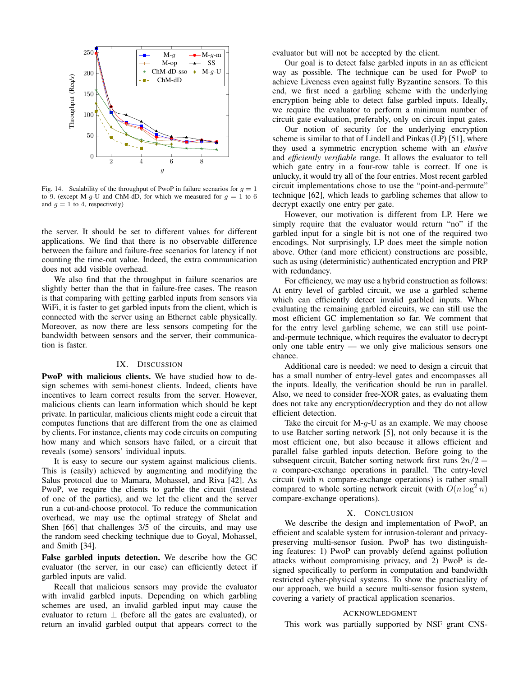

Fig. 14. Scalability of the throughput of PwoP in failure scenarios for  $q = 1$ to 9. (except M-g-U and ChM-dD, for which we measured for  $g = 1$  to 6 and  $q = 1$  to 4, respectively)

the server. It should be set to different values for different applications. We find that there is no observable difference between the failure and failure-free scenarios for latency if not counting the time-out value. Indeed, the extra communication does not add visible overhead.

We also find that the throughput in failure scenarios are slightly better than the that in failure-free cases. The reason is that comparing with getting garbled inputs from sensors via WiFi, it is faster to get garbled inputs from the client, which is connected with the server using an Ethernet cable physically. Moreover, as now there are less sensors competing for the bandwidth between sensors and the server, their communication is faster.

### IX. DISCUSSION

PwoP with malicious clients. We have studied how to design schemes with semi-honest clients. Indeed, clients have incentives to learn correct results from the server. However, malicious clients can learn information which should be kept private. In particular, malicious clients might code a circuit that computes functions that are different from the one as claimed by clients. For instance, clients may code circuits on computing how many and which sensors have failed, or a circuit that reveals (some) sensors' individual inputs.

It is easy to secure our system against malicious clients. This is (easily) achieved by augmenting and modifying the Salus protocol due to Mamara, Mohassel, and Riva [42]. As PwoP, we require the clients to garble the circuit (instead of one of the parties), and we let the client and the server run a cut-and-choose protocol. To reduce the communication overhead, we may use the optimal strategy of Shelat and Shen [66] that challenges 3/5 of the circuits, and may use the random seed checking technique due to Goyal, Mohassel, and Smith [34].

False garbled inputs detection. We describe how the GC evaluator (the server, in our case) can efficiently detect if garbled inputs are valid.

Recall that malicious sensors may provide the evaluator with invalid garbled inputs. Depending on which garbling schemes are used, an invalid garbled input may cause the evaluator to return  $\perp$  (before all the gates are evaluated), or return an invalid garbled output that appears correct to the evaluator but will not be accepted by the client.

Our goal is to detect false garbled inputs in an as efficient way as possible. The technique can be used for PwoP to achieve Liveness even against fully Byzantine sensors. To this end, we first need a garbling scheme with the underlying encryption being able to detect false garbled inputs. Ideally, we require the evaluator to perform a minimum number of circuit gate evaluation, preferably, only on circuit input gates.

Our notion of security for the underlying encryption scheme is similar to that of Lindell and Pinkas (LP) [51], where they used a symmetric encryption scheme with an *elusive* and *efficiently verifiable* range. It allows the evaluator to tell which gate entry in a four-row table is correct. If one is unlucky, it would try all of the four entries. Most recent garbled circuit implementations chose to use the "point-and-permute" technique [62], which leads to garbling schemes that allow to decrypt exactly one entry per gate.

However, our motivation is different from LP. Here we simply require that the evaluator would return "no" if the garbled input for a single bit is not one of the required two encodings. Not surprisingly, LP does meet the simple notion above. Other (and more efficient) constructions are possible, such as using (deterministic) authenticated encryption and PRP with redundancy.

For efficiency, we may use a hybrid construction as follows: At entry level of garbled circuit, we use a garbled scheme which can efficiently detect invalid garbled inputs. When evaluating the remaining garbled circuits, we can still use the most efficient GC implementation so far. We comment that for the entry level garbling scheme, we can still use pointand-permute technique, which requires the evaluator to decrypt only one table entry — we only give malicious sensors one chance.

Additional care is needed: we need to design a circuit that has a small number of entry-level gates and encompasses all the inputs. Ideally, the verification should be run in parallel. Also, we need to consider free-XOR gates, as evaluating them does not take any encryption/decryption and they do not allow efficient detection.

Take the circuit for  $M-g-U$  as an example. We may choose to use Batcher sorting network [5], not only because it is the most efficient one, but also because it allows efficient and parallel false garbled inputs detection. Before going to the subsequent circuit, Batcher sorting network first runs  $2n/2 =$  $n$  compare-exchange operations in parallel. The entry-level circuit (with  $n$  compare-exchange operations) is rather small compared to whole sorting network circuit (with  $O(n \log^2 n)$ compare-exchange operations).

### X. CONCLUSION

We describe the design and implementation of PwoP, an efficient and scalable system for intrusion-tolerant and privacypreserving multi-sensor fusion. PwoP has two distinguishing features: 1) PwoP can provably defend against pollution attacks without compromising privacy, and 2) PwoP is designed specifically to perform in computation and bandwidth restricted cyber-physical systems. To show the practicality of our approach, we build a secure multi-sensor fusion system, covering a variety of practical application scenarios.

### ACKNOWLEDGMENT

This work was partially supported by NSF grant CNS-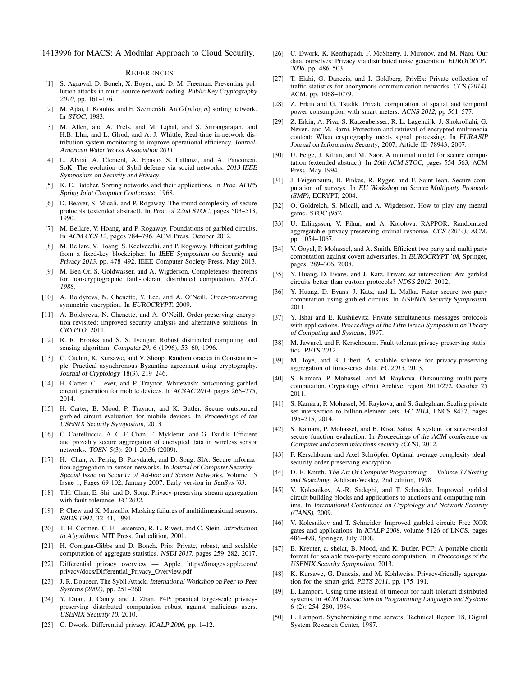1413996 for MACS: A Modular Approach to Cloud Security.

### **REFERENCES**

- [1] S. Agrawal, D. Boneh, X. Boyen, and D. M. Freeman. Preventing pollution attacks in multi-source network coding. Public Key Cryptography 2010, pp. 161–176.
- [2] M. Ajtai, J. Komlós, and E. Szemerédi. An  $O(n \log n)$  sorting network. In STOC, 1983.
- [3] M. Allen, and A. Prels, and M. Lqbal, and S. Srirangarajan, and H.B. Llm, and L. Glrod, and A. J. Whittle, Real-time in-network distribution system monitoring to improve operational efficiency. Journal-American Water Works Association 2011.
- [4] L. Alvisi, A. Clement, A. Epasto, S. Lattanzi, and A. Panconesi. SoK: The evolution of Sybil defense via social networks. 2013 IEEE Symposium on Security and Privacy.
- [5] K. E. Batcher. Sorting networks and their applications. In Proc. AFIPS Spring Joint Computer Conference, 1968.
- [6] D. Beaver, S. Micali, and P. Rogaway. The round complexity of secure protocols (extended abstract). In Proc. of 22nd STOC, pages 503–513, 1990.
- [7] M. Bellare, V. Hoang, and P. Rogaway. Foundations of garbled circuits. In ACM CCS 12, pages 784–796. ACM Press, October 2012.
- [8] M. Bellare, V. Hoang, S. Keelveedhi, and P. Rogaway. Efficient garbling from a fixed-key blockcipher. In IEEE Symposium on Security and Privacy 2013, pp. 478–492, IEEE Computer Society Press, May 2013.
- [9] M. Ben-Or, S. Goldwasser, and A. Wigderson. Completeness theorems for non-cryptographic fault-tolerant distributed computation. STOC 1988.
- [10] A. Boldyreva, N. Chenette, Y. Lee, and A. O'Neill. Order-preserving symmetric encryption. In EUROCRYPT, 2009.
- [11] A. Boldyreva, N. Chenette, and A. O'Neill. Order-preserving encryption revisited: improved security analysis and alternative solutions. In CRYPTO, 2011.
- [12] R. R. Brooks and S. S. Ivengar. Robust distributed computing and sensing algorithm. Computer 29, 6 (1996), 53–60, 1996.
- [13] C. Cachin, K. Kursawe, and V. Shoup. Random oracles in Constantinople: Practical asynchronous Byzantine agreement using cryptography. Journal of Cryptology 18(3), 219–246.
- [14] H. Carter, C. Lever, and P. Traynor. Whitewash: outsourcing garbled circuit generation for mobile devices. In ACSAC 2014, pages 266–275, 2014.
- [15] H. Carter, B. Mood, P. Traynor, and K. Butler. Secure outsourced garbled circuit evaluation for mobile devices. In Proceedings of the USENIX Security Symposium, 2013.
- [16] C. Castelluccia, A. C.-F. Chan, E. Mykletun, and G. Tsudik. Efficient and provably secure aggregation of encrypted data in wireless sensor networks. TOSN 5(3): 20:1-20:36 (2009).
- [17] H. Chan, A. Perrig, B. Przydatek, and D. Song. SIA: Secure information aggregation in sensor networks. In Journal of Computer Security – Special Issue on Security of Ad-hoc and Sensor Networks, Volume 15 Issue 1, Pages 69-102, January 2007. Early version in SenSys '03.
- [18] T.H. Chan, E. Shi, and D. Song. Privacy-preserving stream aggregation with fault tolerance. FC 2012.
- [19] P. Chew and K. Marzullo. Masking failures of multidimensional sensors. SRDS 1991, 32–41, 1991.
- [20] T. H. Cormen, C. E. Leiserson, R. L. Rivest, and C. Stein. Introduction to Algorithms. MIT Press, 2nd edition, 2001.
- [21] H. Corrigan-Gibbs and D. Boneh. Prio: Private, robust, and scalable computation of aggregate statistics. NSDI 2017, pages 259–282, 2017.
- [22] Differential privacy overview Apple. https://images.apple.com/ privacy/docs/Differential Privacy Overview.pdf
- [23] J. R. Douceur. The Sybil Attack. International Workshop on Peer-to-Peer Systems (2002), pp. 251–260.
- [24] Y. Duan, J. Canny, and J. Zhan. P4P: practical large-scale privacypreserving distributed computation robust against malicious users. USENIX Security 10, 2010.
- [25] C. Dwork. Differential privacy. ICALP 2006, pp. 1-12.
- [26] C. Dwork, K. Kenthapadi, F. McSherry, I. Mironov, and M. Naor. Our data, ourselves: Privacy via distributed noise generation. EUROCRYPT 2006, pp. 486–503.
- [27] T. Elahi, G. Danezis, and I. Goldberg. PrivEx: Private collection of traffic statistics for anonymous communication networks. CCS (2014), ACM, pp. 1068–1079.
- [28] Z. Erkin and G. Tsudik. Private computation of spatial and temporal power consumption with smart meters. ACNS 2012, pp 561–577.
- [29] Z. Erkin, A. Piva, S. Katzenbeisser, R. L. Lagendijk, J. Shokrollahi, G. Neven, and M. Barni. Protection and retrieval of encrypted multimedia content: When cryptography meets signal processing. In EURASIP Journal on Information Security, 2007, Article ID 78943, 2007.
- [30] U. Feige, J. Kilian, and M. Naor. A minimal model for secure computation (extended abstract). In 26th ACM STOC, pages 554–563, ACM Press, May 1994.
- [31] J. Feigenbaum, B. Pinkas, R. Ryger, and F. Saint-Jean. Secure computation of surveys. In EU Workshop on Secure Multiparty Protocols (SMP), ECRYPT, 2004.
- [32] O. Goldreich, S. Micali, and A. Wigderson. How to play any mental game. STOC (987.
- [33] U. Erlingsson, V. Pihur, and A. Korolova. RAPPOR: Randomized aggregatable privacy-preserving ordinal response. CCS (2014), ACM, pp. 1054–1067.
- [34] V. Goyal, P. Mohassel, and A. Smith. Efficient two party and multi party computation against covert adversaries. In EUROCRYPT '08, Springer, pages. 289–306, 2008.
- [35] Y. Huang, D. Evans, and J. Katz. Private set intersection: Are garbled circuits better than custom protocols? NDSS 2012, 2012.
- [36] Y. Huang, D. Evans, J. Katz, and L. Malka. Faster secure two-party computation using garbled circuits. In USENIX Security Symposium, 2011.
- [37] Y. Ishai and E. Kushilevitz. Private simultaneous messages protocols with applications. Proceedings of the Fifth Israeli Symposium on Theory of Computing and Systems, 1997.
- [38] M. Jawurek and F. Kerschbaum. Fault-tolerant privacy-preserving statistics. PETS 2012.
- [39] M. Joye, and B. Libert. A scalable scheme for privacy-preserving aggregation of time-series data. FC 2013, 2013.
- [40] S. Kamara, P. Mohassel, and M. Raykova. Outsourcing multi-party computation. Cryptology ePrint Archive, report 2011/272, October 25 2011.
- [41] S. Kamara, P. Mohassel, M. Raykova, and S. Sadeghian. Scaling private set intersection to billion-element sets. FC 2014, LNCS 8437, pages 195–215, 2014.
- [42] S. Kamara, P. Mohassel, and B. Riva. Salus: A system for server-aided secure function evaluation. In Proceedings of the ACM conference on Computer and communications security (CCS), 2012.
- [43] F. Kerschbaum and Axel Schröpfer. Optimal average-complexity idealsecurity order-preserving encryption.
- [44] D. E. Knuth. The Art Of Computer Programming Volume 3 / Sorting and Searching. Addison-Wesley, 2nd edition, 1998.
- [45] V. Kolesnikov, A.-R. Sadeghi, and T. Schneider. Improved garbled circuit building blocks and applications to auctions and computing minima. In International Conference on Cryptology and Network Security (CANS), 2009.
- [46] V. Kolesnikov and T. Schneider. Improved garbled circuit: Free XOR gates and applications. In ICALP 2008, volume 5126 of LNCS, pages 486–498, Springer, July 2008.
- [47] B. Kreuter, a. shelat, B. Mood, and K. Butler. PCF: A portable circuit format for scalable two-party secure computation. In Proceedings of the USENIX Security Symposium, 2013.
- [48] K. Kursawe, G. Danezis, and M. Kohlweiss. Privacy-friendly aggregation for the smart-grid. PETS 2011, pp. 175–191.
- [49] L. Lamport. Using time instead of timeout for fault-tolerant distributed systems. In ACM Transactions on Programming Languages and Systems 6 (2): 254–280, 1984.
- [50] L. Lamport. Synchronizing time servers. Technical Report 18, Digital System Research Center, 1987.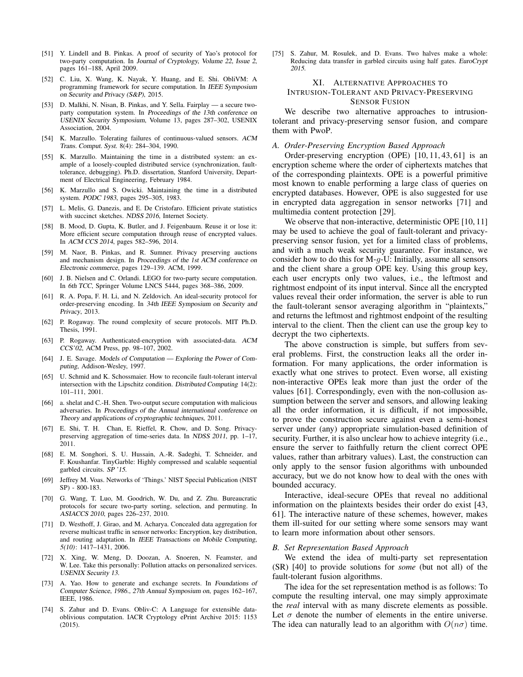- [51] Y. Lindell and B. Pinkas. A proof of security of Yao's protocol for two-party computation. In Journal of Cryptology, Volume 22, Issue 2, pages 161–188, April 2009.
- [52] C. Liu, X. Wang, K. Nayak, Y. Huang, and E. Shi. ObliVM: A programming framework for secure computation. In IEEE Symposium on Security and Privacy (S&P), 2015.
- [53] D. Malkhi, N. Nisan, B. Pinkas, and Y. Sella. Fairplay a secure twoparty computation system. In Proceedings of the 13th conference on USENIX Security Symposium, Volume 13, pages 287–302, USENIX Association, 2004.
- [54] K. Marzullo. Tolerating failures of continuous-valued sensors. ACM Trans. Comput. Syst. 8(4): 284–304, 1990.
- [55] K. Marzullo. Maintaining the time in a distributed system: an example of a loosely-coupled distributed service (synchronization, faulttolerance, debugging). Ph.D. dissertation, Stanford University, Department of Electrical Engineering, February 1984.
- [56] K. Marzullo and S. Owicki. Maintaining the time in a distributed system. PODC 1983, pages 295–305, 1983.
- [57] L. Melis, G. Danezis, and E. De Cristofaro. Efficient private statistics with succinct sketches. NDSS 2016, Internet Society.
- [58] B. Mood, D. Gupta, K. Butler, and J. Feigenbaum. Reuse it or lose it: More efficient secure computation through reuse of encrypted values. In ACM CCS 2014, pages 582–596, 2014.
- [59] M. Naor, B. Pinkas, and R. Sumner. Privacy preserving auctions and mechanism design. In Proceedings of the 1st ACM conference on Electronic commerce, pages 129–139. ACM, 1999.
- [60] J. B. Nielsen and C. Orlandi. LEGO for two-party secure computation. In 6th TCC, Springer Volume LNCS 5444, pages 368–386, 2009.
- [61] R. A. Popa, F. H. Li, and N. Zeldovich. An ideal-security protocol for order-preserving encoding. In 34th IEEE Symposium on Security and Privacy, 2013.
- [62] P. Rogaway. The round complexity of secure protocols. MIT Ph.D. Thesis, 1991.
- [63] P. Rogaway. Authenticated-encryption with associated-data. ACM CCS'02, ACM Press, pp. 98–107, 2002.
- [64] J. E. Savage. Models of Computation Exploring the Power of Computing, Addison-Wesley, 1997.
- [65] U. Schmid and K. Schossmaier. How to reconcile fault-tolerant interval intersection with the Lipschitz condition. Distributed Computing 14(2): 101–111, 2001.
- [66] a. shelat and C.-H. Shen. Two-output secure computation with malicious adversaries. In Proceedings of the Annual international conference on Theory and applications of cryptographic techniques, 2011.
- [67] E. Shi, T. H. Chan, E. Rieffel, R. Chow, and D. Song. Privacypreserving aggregation of time-series data. In NDSS 2011, pp. 1–17, 2011.
- [68] E. M. Songhori, S. U. Hussain, A.-R. Sadeghi, T. Schneider, and F. Koushanfar. TinyGarble: Highly compressed and scalable sequential garbled circuits. SP '15.
- [69] Jeffrey M. Voas. Networks of 'Things.' NIST Special Publication (NIST SP) - 800-183.
- [70] G. Wang, T. Luo, M. Goodrich, W. Du, and Z. Zhu. Bureaucratic protocols for secure two-party sorting, selection, and permuting. In ASIACCS 2010, pages 226–237, 2010.
- [71] D. Westhoff, J. Girao, and M. Acharya. Concealed data aggregation for reverse multicast traffic in sensor networks: Encryption, key distribution, and routing adaptation. In IEEE Transactions on Mobile Computing, 5(10): 1417–1431, 2006.
- [72] X. Xing, W. Meng, D. Doozan, A. Snoeren, N. Feamster, and W. Lee. Take this personally: Pollution attacks on personalized services. USENIX Security 13.
- [73] A. Yao. How to generate and exchange secrets. In Foundations of Computer Science, 1986., 27th Annual Symposium on, pages 162–167, IEEE, 1986.
- [74] S. Zahur and D. Evans. Obliv-C: A Language for extensible dataoblivious computation. IACR Cryptology ePrint Archive 2015: 1153 (2015).

[75] S. Zahur, M. Rosulek, and D. Evans. Two halves make a whole: Reducing data transfer in garbled circuits using half gates. EuroCrypt 2015.

# XI. ALTERNATIVE APPROACHES TO INTRUSION-TOLERANT AND PRIVACY-PRESERVING SENSOR FUSION

We describe two alternative approaches to intrusiontolerant and privacy-preserving sensor fusion, and compare them with PwoP.

# *A. Order-Preserving Encryption Based Approach*

Order-preserving encryption (OPE) [10, 11, 43, 61] is an encryption scheme where the order of ciphertexts matches that of the corresponding plaintexts. OPE is a powerful primitive most known to enable performing a large class of queries on encrypted databases. However, OPE is also suggested for use in encrypted data aggregation in sensor networks [71] and multimedia content protection [29].

We observe that non-interactive, deterministic OPE [10, 11] may be used to achieve the goal of fault-tolerant and privacypreserving sensor fusion, yet for a limited class of problems, and with a much weak security guarantee. For instance, we consider how to do this for  $M-q-U$ : Initially, assume all sensors and the client share a group OPE key. Using this group key, each user encrypts only two values, i.e., the leftmost and rightmost endpoint of its input interval. Since all the encrypted values reveal their order information, the server is able to run the fault-tolerant sensor averaging algorithm in "plaintexts," and returns the leftmost and rightmost endpoint of the resulting interval to the client. Then the client can use the group key to decrypt the two ciphertexts.

The above construction is simple, but suffers from several problems. First, the construction leaks all the order information. For many applications, the order information is exactly what one strives to protect. Even worse, all existing non-interactive OPEs leak more than just the order of the values [61]. Correspondingly, even with the non-collusion assumption between the server and sensors, and allowing leaking all the order information, it is difficult, if not impossible, to prove the construction secure against even a semi-honest server under (any) appropriate simulation-based definition of security. Further, it is also unclear how to achieve integrity (i.e., ensure the server to faithfully return the client correct OPE values, rather than arbitrary values). Last, the construction can only apply to the sensor fusion algorithms with unbounded accuracy, but we do not know how to deal with the ones with bounded accuracy.

Interactive, ideal-secure OPEs that reveal no additional information on the plaintexts besides their order do exist [43, 61]. The interactive nature of these schemes, however, makes them ill-suited for our setting where some sensors may want to learn more information about other sensors.

### *B. Set Representation Based Approach*

We extend the idea of multi-party set representation (SR) [40] to provide solutions for *some* (but not all) of the fault-tolerant fusion algorithms.

The idea for the set representation method is as follows: To compute the resulting interval, one may simply approximate the *real* interval with as many discrete elements as possible. Let  $\sigma$  denote the number of elements in the entire universe. The idea can naturally lead to an algorithm with  $O(n\sigma)$  time.